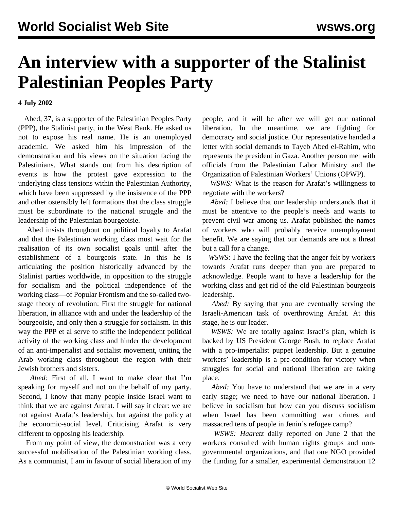## **An interview with a supporter of the Stalinist Palestinian Peoples Party**

**4 July 2002**

 Abed, 37, is a supporter of the Palestinian Peoples Party (PPP), the Stalinist party, in the West Bank. He asked us not to expose his real name. He is an unemployed academic. We asked him his impression of the demonstration and his views on the situation facing the Palestinians. What stands out from his description of events is how the protest gave expression to the underlying class tensions within the Palestinian Authority, which have been suppressed by the insistence of the PPP and other ostensibly left formations that the class struggle must be subordinate to the national struggle and the leadership of the Palestinian bourgeoisie.

 Abed insists throughout on political loyalty to Arafat and that the Palestinian working class must wait for the realisation of its own socialist goals until after the establishment of a bourgeois state. In this he is articulating the position historically advanced by the Stalinist parties worldwide, in opposition to the struggle for socialism and the political independence of the working class—of Popular Frontism and the so-called twostage theory of revolution: First the struggle for national liberation, in alliance with and under the leadership of the bourgeoisie, and only then a struggle for socialism. In this way the PPP et al serve to stifle the independent political activity of the working class and hinder the development of an anti-imperialist and socialist movement, uniting the Arab working class throughout the region with their Jewish brothers and sisters.

 *Abed:* First of all, I want to make clear that I'm speaking for myself and not on the behalf of my party. Second, I know that many people inside Israel want to think that we are against Arafat. I will say it clear: we are not against Arafat's leadership, but against the policy at the economic-social level. Criticising Arafat is very different to opposing his leadership.

 From my point of view, the demonstration was a very successful mobilisation of the Palestinian working class. As a communist, I am in favour of social liberation of my people, and it will be after we will get our national liberation. In the meantime, we are fighting for democracy and social justice. Our representative handed a letter with social demands to Tayeb Abed el-Rahim, who represents the president in Gaza. Another person met with officials from the Palestinian Labor Ministry and the Organization of Palestinian Workers' Unions (OPWP).

 *WSWS:* What is the reason for Arafat's willingness to negotiate with the workers?

 *Abed:* I believe that our leadership understands that it must be attentive to the people's needs and wants to prevent civil war among us. Arafat published the names of workers who will probably receive unemployment benefit. We are saying that our demands are not a threat but a call for a change.

 *WSWS:* I have the feeling that the anger felt by workers towards Arafat runs deeper than you are prepared to acknowledge. People want to have a leadership for the working class and get rid of the old Palestinian bourgeois leadership.

 *Abed:* By saying that you are eventually serving the Israeli-American task of overthrowing Arafat. At this stage, he is our leader.

 *WSWS:* We are totally against Israel's plan, which is backed by US President George Bush, to replace Arafat with a pro-imperialist puppet leadership. But a genuine workers' leadership is a pre-condition for victory when struggles for social and national liberation are taking place.

 *Abed:* You have to understand that we are in a very early stage; we need to have our national liberation. I believe in socialism but how can you discuss socialism when Israel has been committing war crimes and massacred tens of people in Jenin's refugee camp?

 *WSWS: Haaretz* daily reported on June 2 that the workers consulted with human rights groups and nongovernmental organizations, and that one NGO provided the funding for a smaller, experimental demonstration 12